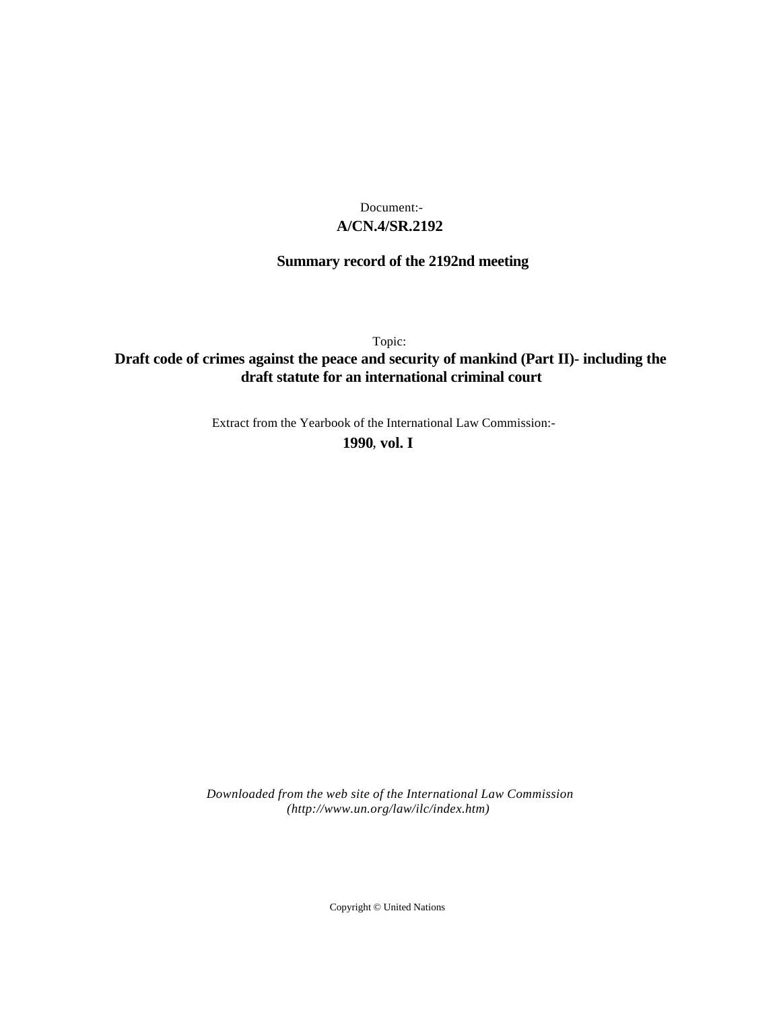## **A/CN.4/SR.2192** Document:-

# **Summary record of the 2192nd meeting**

Topic:

# **Draft code of crimes against the peace and security of mankind (Part II)- including the draft statute for an international criminal court**

Extract from the Yearbook of the International Law Commission:-

**1990** , **vol. I**

*Downloaded from the web site of the International Law Commission (http://www.un.org/law/ilc/index.htm)*

Copyright © United Nations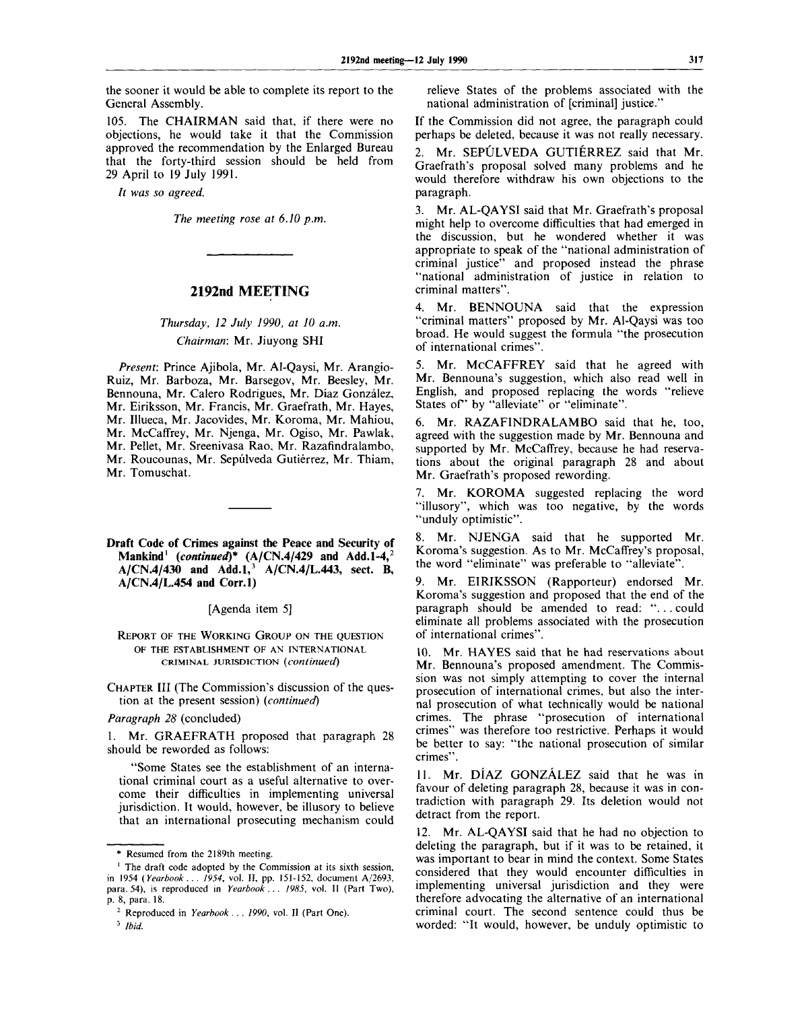the sooner it would be able to complete its report to the General Assembly.

105. The CHAIRMAN said that, if there were no objections, he would take it that the Commission approved the recommendation by the Enlarged Bureau that the forty-third session should be held from 29 April to 19 July 1991.

*It was so agreed.*

*The meeting rose at 6.10 p.m.*

## **2192nd MEETING**

# *Thursday, 12 July 1990, at 10 a.m. Chairman:* Mr. Jiuyong SHI

*Present:* Prince Ajibola, Mr. Al-Qaysi, Mr. Arangio-Ruiz, Mr. Barboza, Mr. Barsegov, Mr. Beesley, Mr. Bennouna, Mr. Calero Rodrigues, Mr. Diaz Gonzalez, Mr. Eiriksson, Mr. Francis, Mr. Graefrath, Mr. Hayes, Mr. Illueca, Mr. Jacovides, Mr. Koroma, Mr. Mahiou, Mr. McCaffrey, Mr. Njenga, Mr. Ogiso, Mr. Pawlak, Mr. Pellet, Mr. Sreenivasa Rao, Mr. Razafindralambo, Mr. Roucounas, Mr. Sepúlveda Gutiérrez, Mr. Thiam, Mr. Tomuschat.

**Draft Code of Crimes against the Peace and Security of Mankind<sup>1</sup>**  *(continued)\** **(A/CN.4/429 and Add.1-4,<sup>2</sup> A/CN.4/430 and Add.I,<sup>3</sup> A/CN.4/L.443, sect. B, A/CN.4/L.454 and Corr.l)**

[Agenda item 5]

REPORT OF THE WORKING GROUP ON THE QUESTION OF THE ESTABLISHMENT OF AN INTERNATIONAL CRIMINAL JURISDICTION *(continued)*

CHAPTER III (The Commission's discussion of the question at the present session) *(continued)*

*Paragraph 28* (concluded)

1. Mr. GRAEFRATH proposed that paragraph 28 should be reworded as follows:

"Some States see the establishment of an international criminal court as a useful alternative to overcome their difficulties in implementing universal jurisdiction. It would, however, be illusory to believe that an international prosecuting mechanism could relieve States of the problems associated with the national administration of [criminal] justice."

If the Commission did not agree, the paragraph could perhaps be deleted, because it was not really necessary.

2. Mr. SEPULVEDA GUTIÉRREZ said that Mr. Graefrath's proposal solved many problems and he would therefore withdraw his own objections to the paragraph.

3. Mr. AL-QAYSI said that Mr. Graefrath's proposal might help to overcome difficulties that had emerged in the discussion, but he wondered whether it was appropriate to speak of the "national administration of criminal justice" and proposed instead the phrase "national administration of justice in relation to criminal matters".

4. Mr. BENNOUNA said that the expression "criminal matters" proposed by Mr. Al-Qaysi was too broad. He would suggest the formula "the prosecution of international crimes".

5. Mr. MCCAFFREY said that he agreed with Mr. Bennouna's suggestion, which also read well in English, and proposed replacing the words "relieve States of 'by "alleviate" or "eliminate".

6. Mr. RAZAFINDRALAMBO said that he, too, agreed with the suggestion made by Mr. Bennouna and supported by Mr. McCaffrey, because he had reservations about the original paragraph 28 and about Mr. Graefrath's proposed rewording.

7. Mr. KOROMA suggested replacing the word "illusory", which was too negative, by the words "unduly optimistic".

8. Mr. NJENGA said that he supported Mr. Koroma's suggestion. As to Mr. McCaffrey's proposal, the word "eliminate" was preferable to "alleviate".

9. Mr. EIRIKSSON (Rapporteur) endorsed Mr. Koroma's suggestion and proposed that the end of the paragraph should be amended to read: ". . . could eliminate all problems associated with the prosecution of international crimes".

10. Mr. HAYES said that he had reservations about Mr. Bennouna's proposed amendment. The Commission was not simply attempting to cover the internal prosecution of international crimes, but also the internal prosecution of what technically would be national crimes. The phrase "prosecution of international crimes" was therefore too restrictive. Perhaps it would be better to say: "the national prosecution of similar crimes".

11. Mr. DIAZ GONZALEZ said that he was in favour of deleting paragraph 28, because it was in contradiction with paragraph 29. Its deletion would not detract from the report.

Mr. AL-QAYSI said that he had no objection to deleting the paragraph, but if it was to be retained, it was important to bear in mind the context. Some States considered that they would encounter difficulties in implementing universal jurisdiction and they were therefore advocating the alternative of an international criminal court. The second sentence could thus be worded: "It would, however, be unduly optimistic to

<sup>\*</sup> Resumed from the 2189th meeting.

<sup>&#</sup>x27; The draft code adopted by the Commission at its sixth session, in 1954 *(Yearbook . . . 1954,* vol. II, pp. 151-152, document A/2693, para. 54), is reproduced in *Yearbook . . . 1985,* vol. II (Part Two), p. 8, para. 18.

<sup>2</sup> Reproduced in *Yearbook . . . 1990,* vol. II (Part One).

<sup>3</sup>  *Ibid.*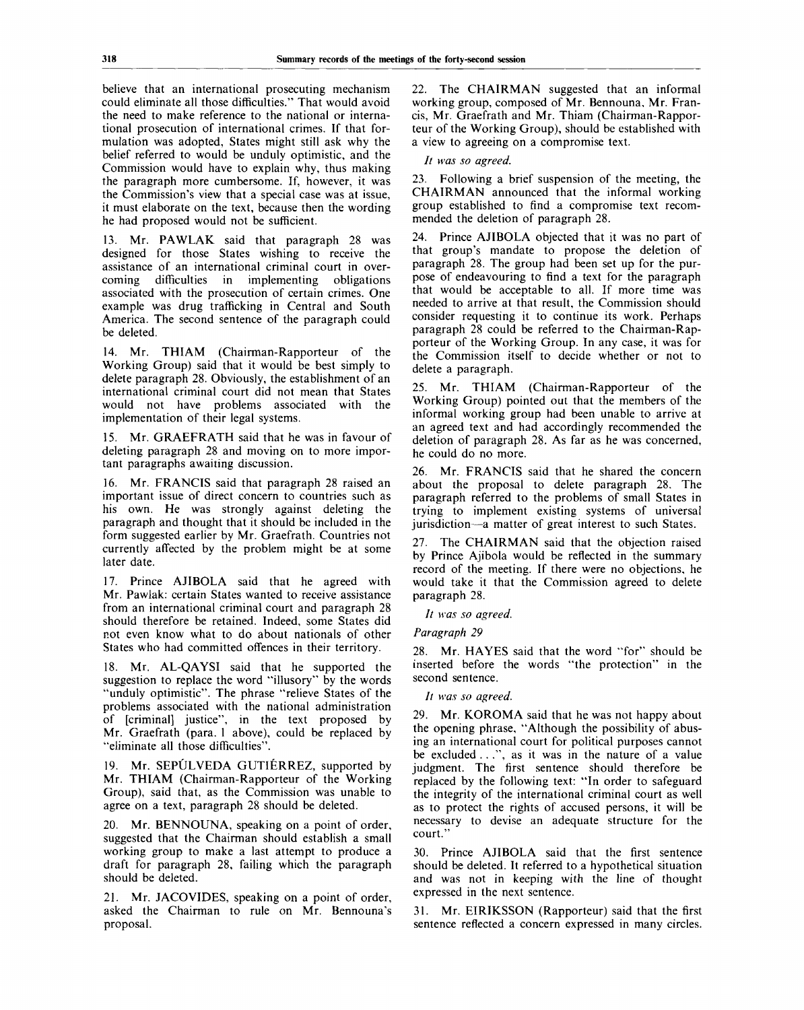believe that an international prosecuting mechanism could eliminate all those difficulties." That would avoid the need to make reference to the national or international prosecution of international crimes. If that formulation was adopted, States might still ask why the belief referred to would be unduly optimistic, and the Commission would have to explain why, thus making the paragraph more cumbersome. If, however, it was the Commission's view that a special case was at issue, it must elaborate on the text, because then the wording he had proposed would not be sufficient.

13. Mr. PAWLAK said that paragraph 28 was designed for those States wishing to receive the assistance of an international criminal court in overcoming difficulties in implementing obligations associated with the prosecution of certain crimes. One example was drug trafficking in Central and South America. The second sentence of the paragraph could be deleted.

14. Mr. THIAM (Chairman-Rapporteur of the Working Group) said that it would be best simply to delete paragraph 28. Obviously, the establishment of an international criminal court did not mean that States would not have problems associated with the implementation of their legal systems.

15. Mr. GRAEFRATH said that he was in favour of deleting paragraph 28 and moving on to more important paragraphs awaiting discussion.

16. Mr. FRANCIS said that paragraph 28 raised an important issue of direct concern to countries such as his own. He was strongly against deleting the paragraph and thought that it should be included in the form suggested earlier by Mr. Graefrath. Countries not currently affected by the problem might be at some later date.

17. Prince AJIBOLA said that he agreed with Mr. Pawlak: certain States wanted to receive assistance from an international criminal court and paragraph 28 should therefore be retained. Indeed, some States did not even know what to do about nationals of other States who had committed offences in their territory.

18. Mr. AL-QAYSI said that he supported the suggestion to replace the word "illusory" by the words "unduly optimistic". The phrase "relieve States of the problems associated with the national administration of [criminal] justice", in the text proposed by Mr. Graefrath (para. 1 above), could be replaced by "eliminate all those difficulties".

19. Mr. SEPULVEDA GUTIERREZ, supported by Mr. THIAM (Chairman-Rapporteur of the Working Group), said that, as the Commission was unable to agree on a text, paragraph 28 should be deleted.

20. Mr. BENNOUNA, speaking on a point of order, suggested that the Chairman should establish a small working group to make a last attempt to produce a draft for paragraph 28, failing which the paragraph should be deleted.

21. Mr. JACOVIDES, speaking on a point of order, asked the Chairman to rule on Mr. Bennouna's proposal.

22. The CHAIRMAN suggested that an informal working group, composed of Mr. Bennouna, Mr. Francis, Mr. Graefrath and Mr. Thiam (Chairman-Rapporteur of the Working Group), should be established with a view to agreeing on a compromise text.

### *It was so agreed.*

23. Following a brief suspension of the meeting, the CHAIRMAN announced that the informal working group established to find a compromise text recommended the deletion of paragraph 28.

24. Prince AJIBOLA objected that it was no part of that group's mandate to propose the deletion of paragraph 28. The group had been set up for the purpose of endeavouring to find a text for the paragraph that would be acceptable to all. If more time was needed to arrive at that result, the Commission should consider requesting it to continue its work. Perhaps paragraph 28 could be referred to the Chairman-Rapporteur of the Working Group. In any case, it was for the Commission itself to decide whether or not to delete a paragraph.

25. Mr. THIAM (Chairman-Rapporteur of the Working Group) pointed out that the members of the informal working group had been unable to arrive at an agreed text and had accordingly recommended the deletion of paragraph 28. As far as he was concerned, he could do no more.

26. Mr. FRANCIS said that he shared the concern about the proposal to delete paragraph 28. The paragraph referred to the problems of small States in trying to implement existing systems of universal jurisdiction—a matter of great interest to such States.

27. The CHAIRMAN said that the objection raised by Prince Ajibola would be reflected in the summary record of the meeting. If there were no objections, he would take it that the Commission agreed to delete paragraph 28.

// *was so agreed.*

*Paragraph 29*

28. Mr. HAYES said that the word "for" should be inserted before the words "the protection" in the second sentence.

*It was so agreed.*

29. Mr. KOROMA said that he was not happy about the opening phrase, "Although the possibility of abusing an international court for political purposes cannot be excluded . . .", as it was in the nature of a value judgment. The first sentence should therefore be replaced by the following text: "In order to safeguard the integrity of the international criminal court as well as to protect the rights of accused persons, it will be necessary to devise an adequate structure for the court."

30. Prince AJIBOLA said that the first sentence should be deleted. It referred to a hypothetical situation and was not in keeping with the line of thought expressed in the next sentence.

31. Mr. EIRIKSSON (Rapporteur) said that the first sentence reflected a concern expressed in many circles.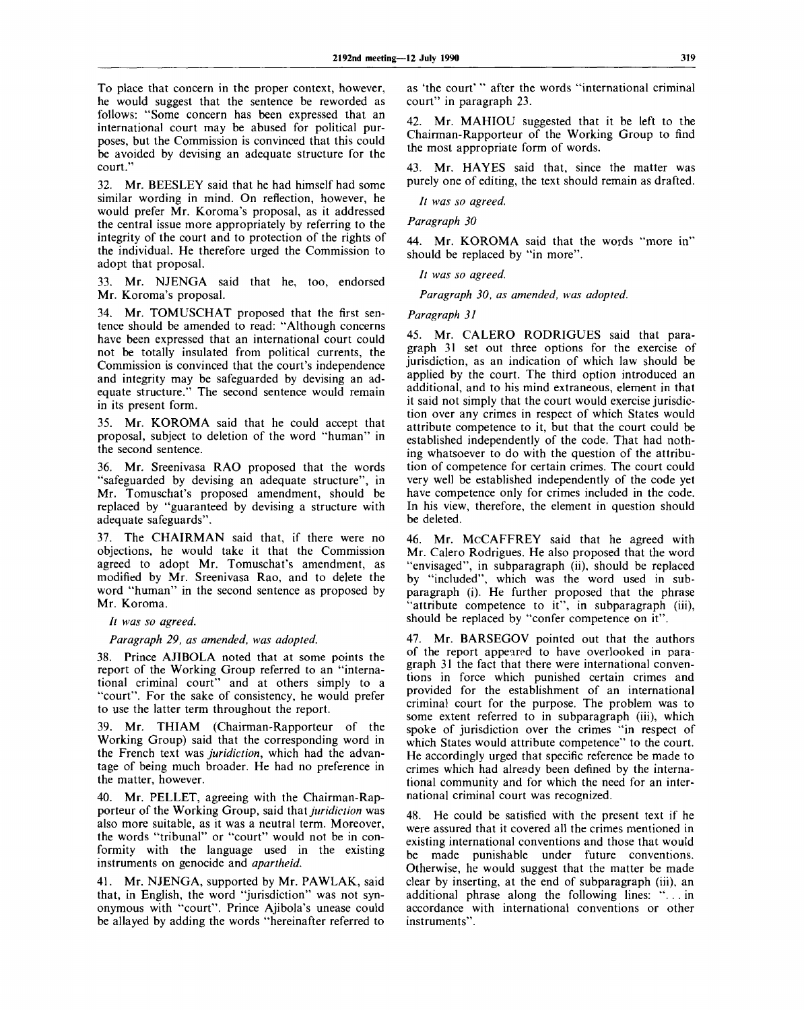To place that concern in the proper context, however, he would suggest that the sentence be reworded as follows: "Some concern has been expressed that an international court may be abused for political purposes, but the Commission is convinced that this could be avoided by devising an adequate structure for the court."

32. Mr. BEESLEY said that he had himself had some similar wording in mind. On reflection, however, he would prefer Mr. Koroma's proposal, as it addressed the central issue more appropriately by referring to the integrity of the court and to protection of the rights of the individual. He therefore urged the Commission to adopt that proposal.

33. Mr. NJENGA said that he, too, endorsed Mr. Koroma's proposal.

34. Mr. TOMUSCHAT proposed that the first sentence should be amended to read: "Although concerns have been expressed that an international court could not be totally insulated from political currents, the Commission is convinced that the court's independence and integrity may be safeguarded by devising an adequate structure." The second sentence would remain in its present form.

35. Mr. KOROMA said that he could accept that proposal, subject to deletion of the word "human" in the second sentence.

36. Mr. Sreenivasa RAO proposed that the words "safeguarded by devising an adequate structure", in Mr. Tomuschat's proposed amendment, should be replaced by "guaranteed by devising a structure with adequate safeguards".

37. The CHAIRMAN said that, if there were no objections, he would take it that the Commission agreed to adopt Mr. Tomuschat's amendment, as modified by Mr. Sreenivasa Rao, and to delete the word "human" in the second sentence as proposed by Mr. Koroma.

// *was so agreed.*

*Paragraph 29, as amended, was adopted.*

38. Prince AJIBOLA noted that at some points the report of the Working Group referred to an "international criminal court" and at others simply to a "court". For the sake of consistency, he would prefer to use the latter term throughout the report.

39. Mr. THIAM (Chairman-Rapporteur of the Working Group) said that the corresponding word in the French text was *juridiction,* which had the advantage of being much broader. He had no preference in the matter, however.

40. Mr. PELLET, agreeing with the Chairman-Rapporteur of the Working Group, said that *juridiction* was also more suitable, as it was a neutral term. Moreover, the words "tribunal" or "court" would not be in conformity with the language used in the existing instruments on genocide and *apartheid.*

41. Mr. NJENGA, supported by Mr. PAWLAK, said that, in English, the word "jurisdiction" was not synonymous with "court". Prince Ajibola's unease could be allayed by adding the words "hereinafter referred to as 'the court' " after the words "international criminal court" in paragraph 23.

42. Mr. MAHIOU suggested that it be left to the Chairman-Rapporteur of the Working Group to find the most appropriate form of words.

43. Mr. HAYES said that, since the matter was purely one of editing, the text should remain as drafted.

*It was so agreed.*

*Paragraph 30*

44. Mr. KOROMA said that the words "more in" should be replaced by "in more".

*It was so agreed.*

*Paragraph 30, as amended, was adopted.*

*Paragraph 31*

45. Mr. CALERO RODRIGUES said that paragraph 31 set out three options for the exercise of jurisdiction, as an indication of which law should be applied by the court. The third option introduced an additional, and to his mind extraneous, element in that it said not simply that the court would exercise jurisdiction over any crimes in respect of which States would attribute competence to it, but that the court could be established independently of the code. That had nothing whatsoever to do with the question of the attribution of competence for certain crimes. The court could very well be established independently of the code yet have competence only for crimes included in the code. In his view, therefore, the element in question should be deleted.

46. Mr. MCCAFFREY said that he agreed with Mr. Calero Rodrigues. He also proposed that the word "envisaged", in subparagraph (ii), should be replaced by "included", which was the word used in subparagraph (i). He further proposed that the phrase "attribute competence to it", in subparagraph (iii), should be replaced by "confer competence on it".

47. Mr. BARSEGOV pointed out that the authors of the report appeared to have overlooked in paragraph 31 the fact that there were international conventions in force which punished certain crimes and provided for the establishment of an international criminal court for the purpose. The problem was to some extent referred to in subparagraph (iii), which spoke of jurisdiction over the crimes "in respect of which States would attribute competence" to the court. He accordingly urged that specific reference be made to crimes which had already been defined by the international community and for which the need for an international criminal court was recognized.

48. He could be satisfied with the present text if he were assured that it covered all the crimes mentioned in existing international conventions and those that would be made punishable under future conventions. Otherwise, he would suggest that the matter be made clear by inserting, at the end of subparagraph (iii), an additional phrase along the following lines: ". . . in accordance with international conventions or other instruments".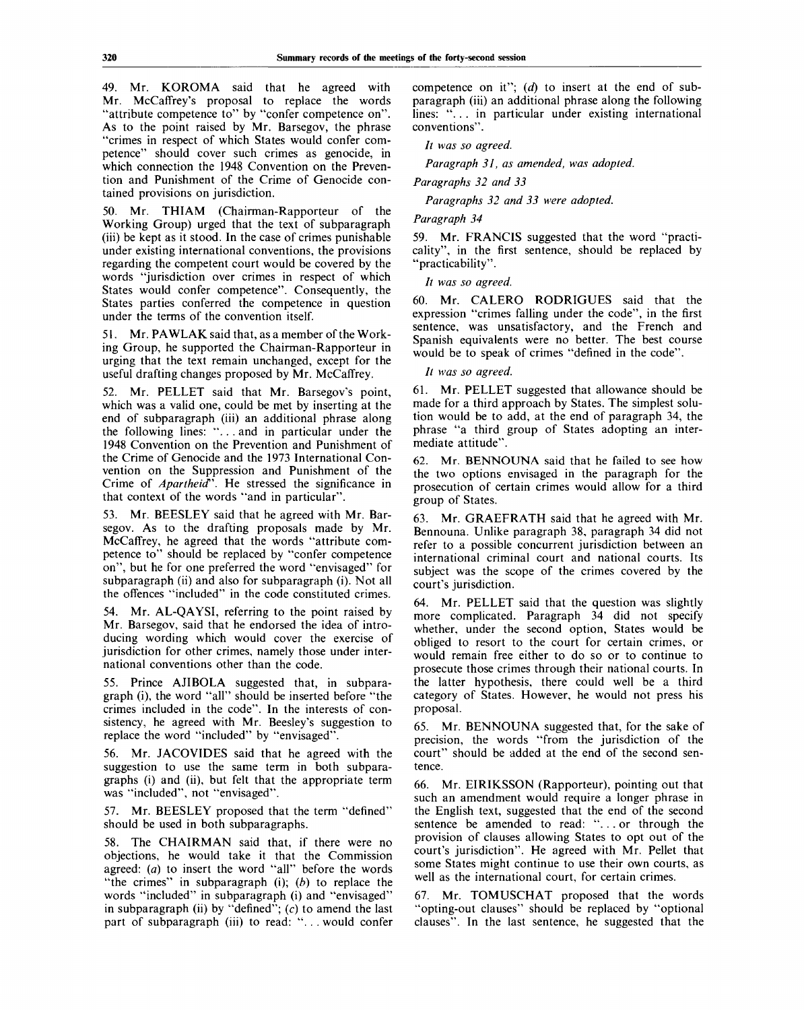49. Mr. KOROMA said that he agreed with Mr. McCaffrey's proposal to replace the words "attribute competence to" by "confer competence on". As to the point raised by Mr. Barsegov, the phrase "crimes in respect of which States would confer competence" should cover such crimes as genocide, in which connection the 1948 Convention on the Prevention and Punishment of the Crime of Genocide contained provisions on jurisdiction.

50. Mr. THIAM (Chairman-Rapporteur of the Working Group) urged that the text of subparagraph (iii) be kept as it stood. In the case of crimes punishable under existing international conventions, the provisions regarding the competent court would be covered by the words "jurisdiction over crimes in respect of which States would confer competence". Consequently, the States parties conferred the competence in question under the terms of the convention itself.

51. Mr. PA WLAK said that, as a member of the Working Group, he supported the Chairman-Rapporteur in urging that the text remain unchanged, except for the useful drafting changes proposed by Mr. McCaffrey.

52. Mr. PELLET said that Mr. Barsegov's point, which was a valid one, could be met by inserting at the end of subparagraph (iii) an additional phrase along the following lines: ".. . and in particular under the 1948 Convention on the Prevention and Punishment of the Crime of Genocide and the 1973 International Convention on the Suppression and Punishment of the Crime of *Apartheid".* He stressed the significance in that context of the words "and in particular".

53. Mr. BEESLEY said that he agreed with Mr. Barsegov. As to the drafting proposals made by Mr. McCaffrey, he agreed that the words "attribute competence to" should be replaced by "confer competence on", but he for one preferred the word "envisaged" for subparagraph (ii) and also for subparagraph (i). Not all the offences "included" in the code constituted crimes.

54. Mr. AL-QAYSI, referring to the point raised by Mr. Barsegov, said that he endorsed the idea of introducing wording which would cover the exercise of jurisdiction for other crimes, namely those under international conventions other than the code.

55. Prince AJIBOLA suggested that, in subparagraph (i), the word "all" should be inserted before "the crimes included in the code". In the interests of consistency, he agreed with Mr. Beesley's suggestion to replace the word "included" by "envisaged".

56. Mr. JACOVIDES said that he agreed with the suggestion to use the same term in both subparagraphs (i) and (ii), but felt that the appropriate term was "included", not "envisaged".

57. Mr. BEESLEY proposed that the term "defined" should be used in both subparagraphs.

58. The CHAIRMAN said that, if there were no objections, he would take it that the Commission agreed: *(a)* to insert the word "all" before the words "the crimes" in subparagraph (i); *(b)* to replace the words "included" in subparagraph (i) and "envisaged" in subparagraph (ii) by "defined";  $(c)$  to amend the last part of subparagraph (iii) to read: "... would confer

competence on it"; *(d)* to insert at the end of subparagraph (iii) an additional phrase along the following lines: "... in particular under existing international conventions".

*It was so agreed.*

*Paragraph 31, as amended, was adopted.*

*Paragraphs 32 and 33*

*Paragraphs 32 and 33 were adopted.*

### *Paragraph 34*

59. Mr. FRANCIS suggested that the word "practicality", in the first sentence, should be replaced by "practicability".

// *was so agreed.*

60. Mr. CALERO RODRIGUES said that the expression "crimes falling under the code", in the first sentence, was unsatisfactory, and the French and Spanish equivalents were no better. The best course would be to speak of crimes "defined in the code".

// *was so agreed.*

61. Mr. PELLET suggested that allowance should be made for a third approach by States. The simplest solution would be to add, at the end of paragraph 34, the phrase "a third group of States adopting an intermediate attitude".

62. Mr. BENNOUNA said that he failed to see how the two options envisaged in the paragraph for the prosecution of certain crimes would allow for a third group of States.

63. Mr. GRAEFRATH said that he agreed with Mr. Bennouna. Unlike paragraph 38, paragraph 34 did not refer to a possible concurrent jurisdiction between an international criminal court and national courts. Its subject was the scope of the crimes covered by the court's jurisdiction.

64. Mr. PELLET said that the question was slightly more complicated. Paragraph 34 did not specify whether, under the second option, States would be obliged to resort to the court for certain crimes, or would remain free either to do so or to continue to prosecute those crimes through their national courts. In the latter hypothesis, there could well be a third category of States. However, he would not press his proposal.

65. Mr. BENNOUNA suggested that, for the sake of precision, the words "from the jurisdiction of the court" should be added at the end of the second sentence.

66. Mr. EIRIKSSON (Rapporteur), pointing out that such an amendment would require a longer phrase in the English text, suggested that the end of the second sentence be amended to read: "... or through the provision of clauses allowing States to opt out of the court's jurisdiction". He agreed with Mr. Pellet that some States might continue to use their own courts, as well as the international court, for certain crimes.

67. Mr. TOMUSCHAT proposed that the words "opting-out clauses" should be replaced by "optional clauses". In the last sentence, he suggested that the